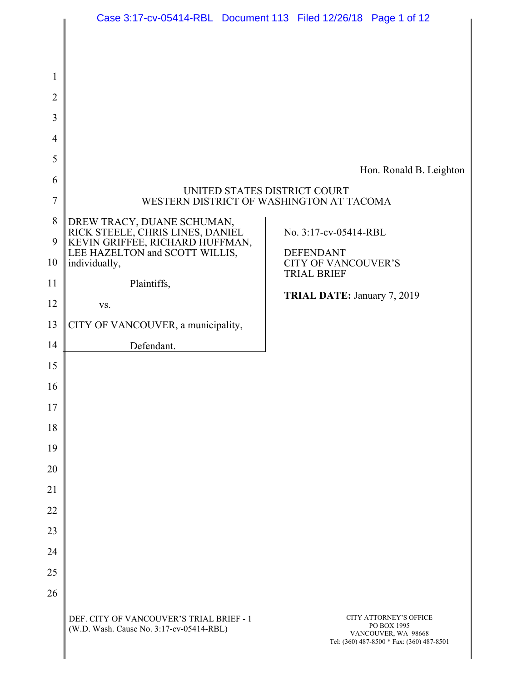|                | Case 3:17-cv-05414-RBL Document 113 Filed 12/26/18 Page 1 of 12                      |                                                                          |
|----------------|--------------------------------------------------------------------------------------|--------------------------------------------------------------------------|
|                |                                                                                      |                                                                          |
| 1              |                                                                                      |                                                                          |
| $\overline{2}$ |                                                                                      |                                                                          |
| 3              |                                                                                      |                                                                          |
| 4              |                                                                                      |                                                                          |
| 5              |                                                                                      |                                                                          |
| 6              |                                                                                      | Hon. Ronald B. Leighton                                                  |
| 7              |                                                                                      | UNITED STATES DISTRICT COURT<br>WESTERN DISTRICT OF WASHINGTON AT TACOMA |
| 8              | DREW TRACY, DUANE SCHUMAN,                                                           |                                                                          |
| 9              | RICK STEELE, CHRIS LINES, DANIEL<br>KEVIN GRIFFEE, RICHARD HUFFMAN,                  | No. 3:17-cv-05414-RBL                                                    |
| 10             | LEE HAZELTON and SCOTT WILLIS,<br>individually,                                      | <b>DEFENDANT</b><br><b>CITY OF VANCOUVER'S</b>                           |
| 11             | Plaintiffs,                                                                          | <b>TRIAL BRIEF</b>                                                       |
| 12             | VS.                                                                                  | TRIAL DATE: January 7, 2019                                              |
| 13             | CITY OF VANCOUVER, a municipality,                                                   |                                                                          |
| 14             | Defendant.                                                                           |                                                                          |
| 15             |                                                                                      |                                                                          |
| 16             |                                                                                      |                                                                          |
| 17             |                                                                                      |                                                                          |
| 18             |                                                                                      |                                                                          |
| 19             |                                                                                      |                                                                          |
| 20             |                                                                                      |                                                                          |
| 21             |                                                                                      |                                                                          |
| 22             |                                                                                      |                                                                          |
| 23             |                                                                                      |                                                                          |
| 24             |                                                                                      |                                                                          |
| 25             |                                                                                      |                                                                          |
| 26             |                                                                                      |                                                                          |
|                | DEF. CITY OF VANCOUVER'S TRIAL BRIEF - 1<br>(W.D. Wash. Cause No. 3:17-cv-05414-RBL) | <b>CITY ATTORNEY'S OFFICE</b><br>PO BOX 1995<br>VANCOUVER, WA 98668      |

Tel: (360) 487-8500 \* Fax: (360) 487-8501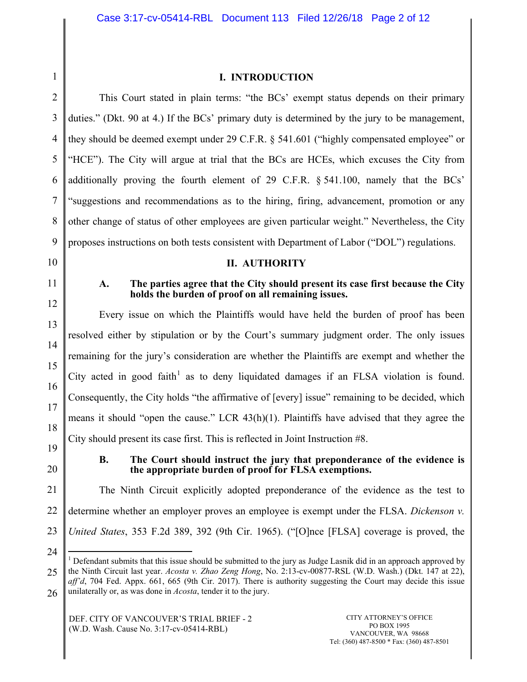1

# **I. INTRODUCTION**

2 3 4 5 6 7 8 9 This Court stated in plain terms: "the BCs' exempt status depends on their primary duties." (Dkt. 90 at 4.) If the BCs' primary duty is determined by the jury to be management, they should be deemed exempt under 29 C.F.R. § 541.601 ("highly compensated employee" or "HCE"). The City will argue at trial that the BCs are HCEs, which excuses the City from additionally proving the fourth element of 29 C.F.R. § 541.100, namely that the BCs' "suggestions and recommendations as to the hiring, firing, advancement, promotion or any other change of status of other employees are given particular weight." Nevertheless, the City proposes instructions on both tests consistent with Department of Labor ("DOL") regulations.

**II. AUTHORITY**

- 10
- 11

### **A. The parties agree that the City should present its case first because the City holds the burden of proof on all remaining issues.**

12 13 14 15 16 17 18 Every issue on which the Plaintiffs would have held the burden of proof has been resolved either by stipulation or by the Court's summary judgment order. The only issues remaining for the jury's consideration are whether the Plaintiffs are exempt and whether the City acted in good faith<sup>1</sup> as to deny liquidated damages if an FLSA violation is found. Consequently, the City holds "the affirmative of [every] issue" remaining to be decided, which means it should "open the cause." LCR 43(h)(1). Plaintiffs have advised that they agree the City should present its case first. This is reflected in Joint Instruction #8.

- 19
- 20

## **B. The Court should instruct the jury that preponderance of the evidence is the appropriate burden of proof for FLSA exemptions.**

21 22 23 The Ninth Circuit explicitly adopted preponderance of the evidence as the test to determine whether an employer proves an employee is exempt under the FLSA. *Dickenson v. United States*, 353 F.2d 389, 392 (9th Cir. 1965). ("[O]nce [FLSA] coverage is proved, the

24

<sup>&</sup>lt;sup>1</sup> Defendant submits that this issue should be submitted to the jury as Judge Lasnik did in an approach approved by the Ninth Circuit last year. *Acosta v. Zhao Zeng Hong*, No. 2:13-cv-00877-RSL (W.D. Wash.) (Dkt. 147 at 22),

<sup>25</sup> 26 *aff'd*, 704 Fed. Appx. 661, 665 (9th Cir. 2017). There is authority suggesting the Court may decide this issue unilaterally or, as was done in *Acosta*, tender it to the jury.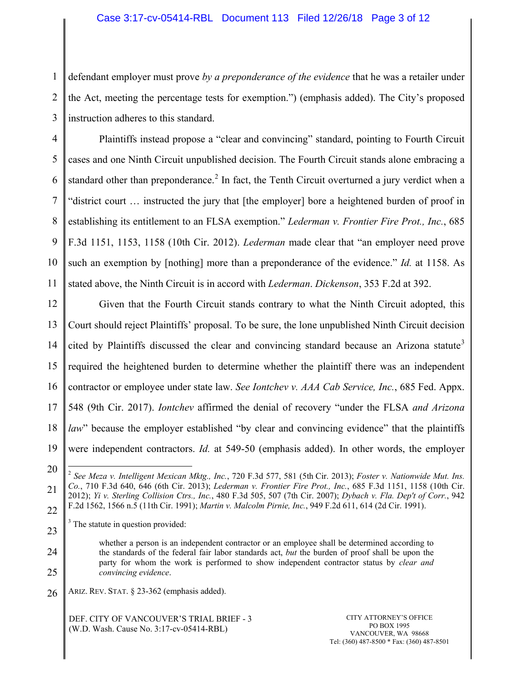# Case 3:17-cv-05414-RBL Document 113 Filed 12/26/18 Page 3 of 12

1 2 3 defendant employer must prove *by a preponderance of the evidence* that he was a retailer under the Act, meeting the percentage tests for exemption.") (emphasis added). The City's proposed instruction adheres to this standard.

4 5 6 7 8 9 10 11 Plaintiffs instead propose a "clear and convincing" standard, pointing to Fourth Circuit cases and one Ninth Circuit unpublished decision. The Fourth Circuit stands alone embracing a standard other than preponderance.<sup>2</sup> In fact, the Tenth Circuit overturned a jury verdict when a "district court … instructed the jury that [the employer] bore a heightened burden of proof in establishing its entitlement to an FLSA exemption." *Lederman v. Frontier Fire Prot., Inc.*, 685 F.3d 1151, 1153, 1158 (10th Cir. 2012). *Lederman* made clear that "an employer need prove such an exemption by [nothing] more than a preponderance of the evidence." *Id.* at 1158. As stated above, the Ninth Circuit is in accord with *Lederman*. *Dickenson*, 353 F.2d at 392.

12 13 14 15 16 17 18 19 Given that the Fourth Circuit stands contrary to what the Ninth Circuit adopted, this Court should reject Plaintiffs' proposal. To be sure, the lone unpublished Ninth Circuit decision cited by Plaintiffs discussed the clear and convincing standard because an Arizona statute<sup>3</sup> required the heightened burden to determine whether the plaintiff there was an independent contractor or employee under state law. *See Iontchev v. AAA Cab Service, Inc.*, 685 Fed. Appx. 548 (9th Cir. 2017). *Iontchev* affirmed the denial of recovery "under the FLSA *and Arizona law*" because the employer established "by clear and convincing evidence" that the plaintiffs were independent contractors. *Id.* at 549-50 (emphasis added). In other words, the employer

24

25

26 ARIZ. REV. STAT. § 23-362 (emphasis added).

> DEF. CITY OF VANCOUVER'S TRIAL BRIEF - 3 (W.D. Wash. Cause No. 3:17-cv-05414-RBL)

<sup>20</sup>

<sup>21</sup> 22 2 *See Meza v. Intelligent Mexican Mktg., Inc.*, 720 F.3d 577, 581 (5th Cir. 2013); *Foster v. Nationwide Mut. Ins. Co.*, 710 F.3d 640, 646 (6th Cir. 2013); *Lederman v. Frontier Fire Prot., Inc.*, 685 F.3d 1151, 1158 (10th Cir. 2012); *Yi v. Sterling Collision Ctrs., Inc.*, 480 F.3d 505, 507 (7th Cir. 2007); *Dybach v. Fla. Dep't of Corr.*, 942 F.2d 1562, 1566 n.5 (11th Cir. 1991); *Martin v. Malcolm Pirnie, Inc.*, 949 F.2d 611, 614 (2d Cir. 1991).

<sup>23</sup>  $3$  The statute in question provided:

whether a person is an independent contractor or an employee shall be determined according to the standards of the federal fair labor standards act, *but* the burden of proof shall be upon the party for whom the work is performed to show independent contractor status by *clear and convincing evidence*.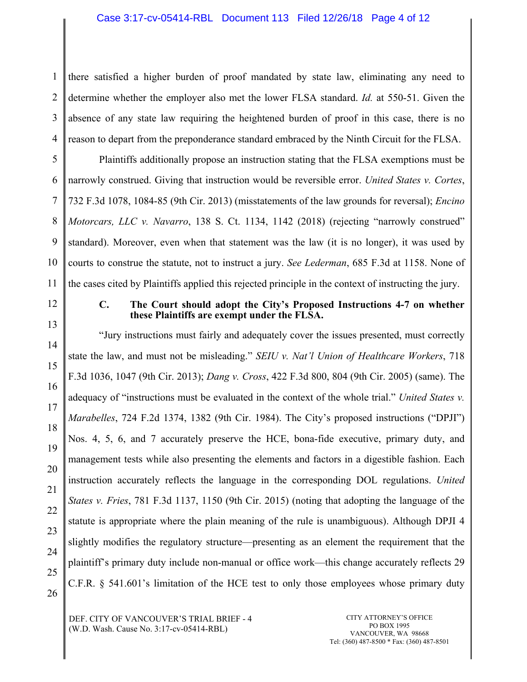## Case 3:17-cv-05414-RBL Document 113 Filed 12/26/18 Page 4 of 12

1 2 3 4 there satisfied a higher burden of proof mandated by state law, eliminating any need to determine whether the employer also met the lower FLSA standard. *Id.* at 550-51. Given the absence of any state law requiring the heightened burden of proof in this case, there is no reason to depart from the preponderance standard embraced by the Ninth Circuit for the FLSA.

5 6 7 8 9 10 11 Plaintiffs additionally propose an instruction stating that the FLSA exemptions must be narrowly construed. Giving that instruction would be reversible error. *United States v. Cortes*, 732 F.3d 1078, 1084-85 (9th Cir. 2013) (misstatements of the law grounds for reversal); *Encino Motorcars, LLC v. Navarro*, 138 S. Ct. 1134, 1142 (2018) (rejecting "narrowly construed" standard). Moreover, even when that statement was the law (it is no longer), it was used by courts to construe the statute, not to instruct a jury. *See Lederman*, 685 F.3d at 1158. None of the cases cited by Plaintiffs applied this rejected principle in the context of instructing the jury.

12

13

### **C. The Court should adopt the City's Proposed Instructions 4-7 on whether these Plaintiffs are exempt under the FLSA.**

14 15 16 17 18 19 20 21 22 23 24 25 26 "Jury instructions must fairly and adequately cover the issues presented, must correctly state the law, and must not be misleading." *SEIU v. Nat'l Union of Healthcare Workers*, 718 F.3d 1036, 1047 (9th Cir. 2013); *Dang v. Cross*, 422 F.3d 800, 804 (9th Cir. 2005) (same). The adequacy of "instructions must be evaluated in the context of the whole trial." *United States v. Marabelles*, 724 F.2d 1374, 1382 (9th Cir. 1984). The City's proposed instructions ("DPJI") Nos. 4, 5, 6, and 7 accurately preserve the HCE, bona-fide executive, primary duty, and management tests while also presenting the elements and factors in a digestible fashion. Each instruction accurately reflects the language in the corresponding DOL regulations. *United States v. Fries*, 781 F.3d 1137, 1150 (9th Cir. 2015) (noting that adopting the language of the statute is appropriate where the plain meaning of the rule is unambiguous). Although DPJI 4 slightly modifies the regulatory structure—presenting as an element the requirement that the plaintiff's primary duty include non-manual or office work—this change accurately reflects 29 C.F.R. § 541.601's limitation of the HCE test to only those employees whose primary duty

DEF. CITY OF VANCOUVER'S TRIAL BRIEF - 4 (W.D. Wash. Cause No. 3:17-cv-05414-RBL)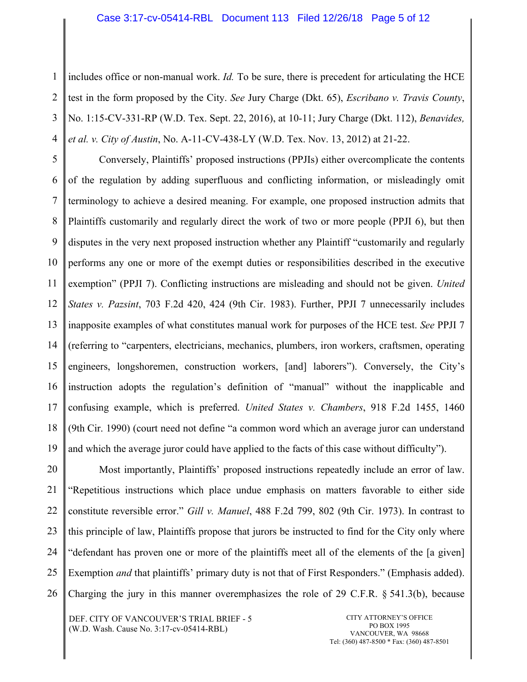#### Case 3:17-cv-05414-RBL Document 113 Filed 12/26/18 Page 5 of 12

1 2 3 4 includes office or non-manual work. *Id.* To be sure, there is precedent for articulating the HCE test in the form proposed by the City. *See* Jury Charge (Dkt. 65), *Escribano v. Travis County*, No. 1:15-CV-331-RP (W.D. Tex. Sept. 22, 2016), at 10-11; Jury Charge (Dkt. 112), *Benavides, et al. v. City of Austin*, No. A-11-CV-438-LY (W.D. Tex. Nov. 13, 2012) at 21-22.

5 6 7 8 9 10 11 12 13 14 15 16 17 18 19 Conversely, Plaintiffs' proposed instructions (PPJIs) either overcomplicate the contents of the regulation by adding superfluous and conflicting information, or misleadingly omit terminology to achieve a desired meaning. For example, one proposed instruction admits that Plaintiffs customarily and regularly direct the work of two or more people (PPJI 6), but then disputes in the very next proposed instruction whether any Plaintiff "customarily and regularly performs any one or more of the exempt duties or responsibilities described in the executive exemption" (PPJI 7). Conflicting instructions are misleading and should not be given. *United States v. Pazsint*, 703 F.2d 420, 424 (9th Cir. 1983). Further, PPJI 7 unnecessarily includes inapposite examples of what constitutes manual work for purposes of the HCE test. *See* PPJI 7 (referring to "carpenters, electricians, mechanics, plumbers, iron workers, craftsmen, operating engineers, longshoremen, construction workers, [and] laborers"). Conversely, the City's instruction adopts the regulation's definition of "manual" without the inapplicable and confusing example, which is preferred. *United States v. Chambers*, 918 F.2d 1455, 1460 (9th Cir. 1990) (court need not define "a common word which an average juror can understand and which the average juror could have applied to the facts of this case without difficulty").

20 21 22 23 24 25 26 Most importantly, Plaintiffs' proposed instructions repeatedly include an error of law. "Repetitious instructions which place undue emphasis on matters favorable to either side constitute reversible error." *Gill v. Manuel*, 488 F.2d 799, 802 (9th Cir. 1973). In contrast to this principle of law, Plaintiffs propose that jurors be instructed to find for the City only where "defendant has proven one or more of the plaintiffs meet all of the elements of the [a given] Exemption *and* that plaintiffs' primary duty is not that of First Responders." (Emphasis added). Charging the jury in this manner overemphasizes the role of 29 C.F.R. § 541.3(b), because

DEF. CITY OF VANCOUVER'S TRIAL BRIEF - 5 (W.D. Wash. Cause No. 3:17-cv-05414-RBL)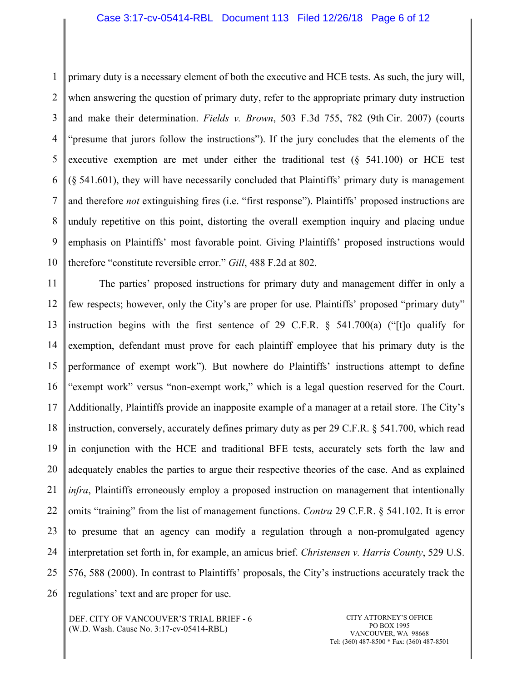# Case 3:17-cv-05414-RBL Document 113 Filed 12/26/18 Page 6 of 12

1 2 3 4 5 6 7 8 9 10 primary duty is a necessary element of both the executive and HCE tests. As such, the jury will, when answering the question of primary duty, refer to the appropriate primary duty instruction and make their determination. *Fields v. Brown*, 503 F.3d 755, 782 (9th Cir. 2007) (courts "presume that jurors follow the instructions"). If the jury concludes that the elements of the executive exemption are met under either the traditional test (§ 541.100) or HCE test (§ 541.601), they will have necessarily concluded that Plaintiffs' primary duty is management and therefore *not* extinguishing fires (i.e. "first response"). Plaintiffs' proposed instructions are unduly repetitive on this point, distorting the overall exemption inquiry and placing undue emphasis on Plaintiffs' most favorable point. Giving Plaintiffs' proposed instructions would therefore "constitute reversible error." *Gill*, 488 F.2d at 802.

11 12 13 14 15 16 17 18 19 20 21 22 23 24 25 26 The parties' proposed instructions for primary duty and management differ in only a few respects; however, only the City's are proper for use. Plaintiffs' proposed "primary duty" instruction begins with the first sentence of 29 C.F.R.  $\frac{1}{2}$  541.700(a) ("[t]o qualify for exemption, defendant must prove for each plaintiff employee that his primary duty is the performance of exempt work"). But nowhere do Plaintiffs' instructions attempt to define "exempt work" versus "non-exempt work," which is a legal question reserved for the Court. Additionally, Plaintiffs provide an inapposite example of a manager at a retail store. The City's instruction, conversely, accurately defines primary duty as per 29 C.F.R. § 541.700, which read in conjunction with the HCE and traditional BFE tests, accurately sets forth the law and adequately enables the parties to argue their respective theories of the case. And as explained *infra*, Plaintiffs erroneously employ a proposed instruction on management that intentionally omits "training" from the list of management functions. *Contra* 29 C.F.R. § 541.102. It is error to presume that an agency can modify a regulation through a non-promulgated agency interpretation set forth in, for example, an amicus brief. *Christensen v. Harris County*, 529 U.S. 576, 588 (2000). In contrast to Plaintiffs' proposals, the City's instructions accurately track the regulations' text and are proper for use.

DEF. CITY OF VANCOUVER'S TRIAL BRIEF - 6 (W.D. Wash. Cause No. 3:17-cv-05414-RBL)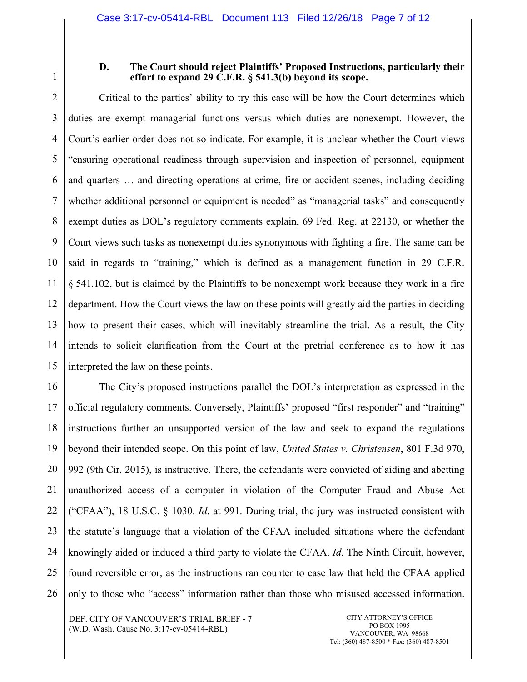1

### **D. The Court should reject Plaintiffs' Proposed Instructions, particularly their effort to expand 29 C.F.R. § 541.3(b) beyond its scope.**

2 3 4 5 6 7 8 9 10 11 12 13 14 15 Critical to the parties' ability to try this case will be how the Court determines which duties are exempt managerial functions versus which duties are nonexempt. However, the Court's earlier order does not so indicate. For example, it is unclear whether the Court views "ensuring operational readiness through supervision and inspection of personnel, equipment and quarters … and directing operations at crime, fire or accident scenes, including deciding whether additional personnel or equipment is needed" as "managerial tasks" and consequently exempt duties as DOL's regulatory comments explain, 69 Fed. Reg. at 22130, or whether the Court views such tasks as nonexempt duties synonymous with fighting a fire. The same can be said in regards to "training," which is defined as a management function in 29 C.F.R. § 541.102, but is claimed by the Plaintiffs to be nonexempt work because they work in a fire department. How the Court views the law on these points will greatly aid the parties in deciding how to present their cases, which will inevitably streamline the trial. As a result, the City intends to solicit clarification from the Court at the pretrial conference as to how it has interpreted the law on these points.

16 17 18 19 20 21 22 23 24 25 26 The City's proposed instructions parallel the DOL's interpretation as expressed in the official regulatory comments. Conversely, Plaintiffs' proposed "first responder" and "training" instructions further an unsupported version of the law and seek to expand the regulations beyond their intended scope. On this point of law, *United States v. Christensen*, 801 F.3d 970, 992 (9th Cir. 2015), is instructive. There, the defendants were convicted of aiding and abetting unauthorized access of a computer in violation of the Computer Fraud and Abuse Act ("CFAA"), 18 U.S.C. § 1030. *Id*. at 991. During trial, the jury was instructed consistent with the statute's language that a violation of the CFAA included situations where the defendant knowingly aided or induced a third party to violate the CFAA. *Id*. The Ninth Circuit, however, found reversible error, as the instructions ran counter to case law that held the CFAA applied only to those who "access" information rather than those who misused accessed information.

DEF. CITY OF VANCOUVER'S TRIAL BRIEF - 7 (W.D. Wash. Cause No. 3:17-cv-05414-RBL)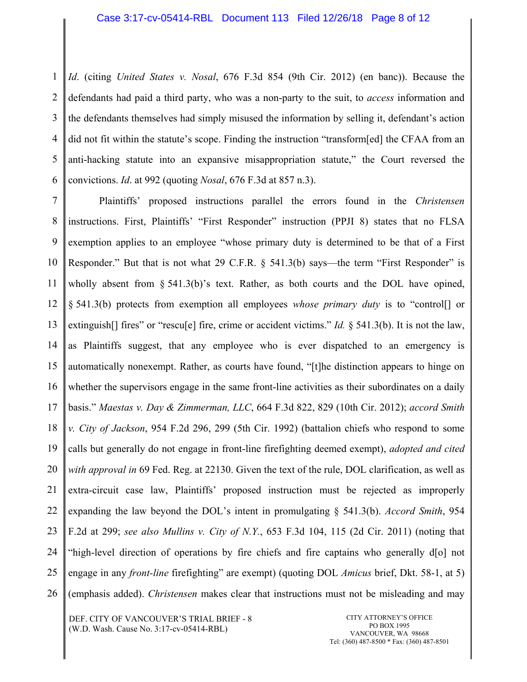1 2 3 4 5 6 *Id*. (citing *United States v. Nosal*, 676 F.3d 854 (9th Cir. 2012) (en banc)). Because the defendants had paid a third party, who was a non-party to the suit, to *access* information and the defendants themselves had simply misused the information by selling it, defendant's action did not fit within the statute's scope. Finding the instruction "transform[ed] the CFAA from an anti-hacking statute into an expansive misappropriation statute," the Court reversed the convictions. *Id*. at 992 (quoting *Nosal*, 676 F.3d at 857 n.3).

7 8 9 10 11 12 13 14 15 16 17 18 19 20 21 22 23 24 25 26 Plaintiffs' proposed instructions parallel the errors found in the *Christensen*  instructions. First, Plaintiffs' "First Responder" instruction (PPJI 8) states that no FLSA exemption applies to an employee "whose primary duty is determined to be that of a First Responder." But that is not what 29 C.F.R. § 541.3(b) says—the term "First Responder" is wholly absent from § 541.3(b)'s text. Rather, as both courts and the DOL have opined, § 541.3(b) protects from exemption all employees *whose primary duty* is to "control[] or extinguish<sup>[]</sup> fires" or "rescu<sup>[e]</sup> fire, crime or accident victims." *Id.* § 541.3(b). It is not the law, as Plaintiffs suggest, that any employee who is ever dispatched to an emergency is automatically nonexempt. Rather, as courts have found, "[t]he distinction appears to hinge on whether the supervisors engage in the same front-line activities as their subordinates on a daily basis." *Maestas v. Day & Zimmerman, LLC*, 664 F.3d 822, 829 (10th Cir. 2012); *accord Smith v. City of Jackson*, 954 F.2d 296, 299 (5th Cir. 1992) (battalion chiefs who respond to some calls but generally do not engage in front-line firefighting deemed exempt), *adopted and cited with approval in* 69 Fed. Reg. at 22130. Given the text of the rule, DOL clarification, as well as extra-circuit case law, Plaintiffs' proposed instruction must be rejected as improperly expanding the law beyond the DOL's intent in promulgating § 541.3(b). *Accord Smith*, 954 F.2d at 299; *see also Mullins v. City of N.Y.*, 653 F.3d 104, 115 (2d Cir. 2011) (noting that "high-level direction of operations by fire chiefs and fire captains who generally d[o] not engage in any *front-line* firefighting" are exempt) (quoting DOL *Amicus* brief, Dkt. 58-1, at 5) (emphasis added). *Christensen* makes clear that instructions must not be misleading and may

DEF. CITY OF VANCOUVER'S TRIAL BRIEF - 8 (W.D. Wash. Cause No. 3:17-cv-05414-RBL)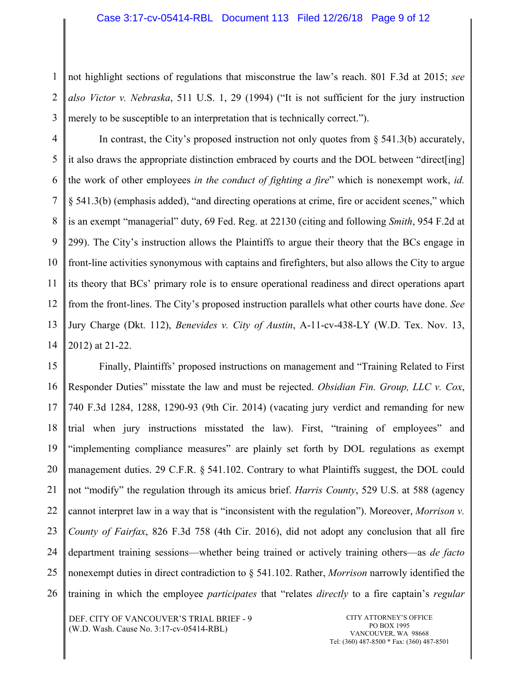1 2 3 not highlight sections of regulations that misconstrue the law's reach. 801 F.3d at 2015; *see also Victor v. Nebraska*, 511 U.S. 1, 29 (1994) ("It is not sufficient for the jury instruction merely to be susceptible to an interpretation that is technically correct.").

4 5 6 7 8 9 10 11 12 13 14 In contrast, the City's proposed instruction not only quotes from  $\S$  541.3(b) accurately, it also draws the appropriate distinction embraced by courts and the DOL between "direct[ing] the work of other employees *in the conduct of fighting a fire*" which is nonexempt work, *id.* § 541.3(b) (emphasis added), "and directing operations at crime, fire or accident scenes," which is an exempt "managerial" duty, 69 Fed. Reg. at 22130 (citing and following *Smith*, 954 F.2d at 299). The City's instruction allows the Plaintiffs to argue their theory that the BCs engage in front-line activities synonymous with captains and firefighters, but also allows the City to argue its theory that BCs' primary role is to ensure operational readiness and direct operations apart from the front-lines. The City's proposed instruction parallels what other courts have done. *See*  Jury Charge (Dkt. 112), *Benevides v. City of Austin*, A-11-cv-438-LY (W.D. Tex. Nov. 13, 2012) at 21-22.

15 16 17 18 19 20 21 22 23 24 25 26 Finally, Plaintiffs' proposed instructions on management and "Training Related to First Responder Duties" misstate the law and must be rejected. *Obsidian Fin. Group, LLC v. Cox*, 740 F.3d 1284, 1288, 1290-93 (9th Cir. 2014) (vacating jury verdict and remanding for new trial when jury instructions misstated the law). First, "training of employees" and "implementing compliance measures" are plainly set forth by DOL regulations as exempt management duties. 29 C.F.R. § 541.102. Contrary to what Plaintiffs suggest, the DOL could not "modify" the regulation through its amicus brief. *Harris County*, 529 U.S. at 588 (agency cannot interpret law in a way that is "inconsistent with the regulation"). Moreover, *Morrison v. County of Fairfax*, 826 F.3d 758 (4th Cir. 2016), did not adopt any conclusion that all fire department training sessions—whether being trained or actively training others—as *de facto*  nonexempt duties in direct contradiction to § 541.102. Rather, *Morrison* narrowly identified the training in which the employee *participates* that "relates *directly* to a fire captain's *regular*

DEF. CITY OF VANCOUVER'S TRIAL BRIEF - 9 (W.D. Wash. Cause No. 3:17-cv-05414-RBL)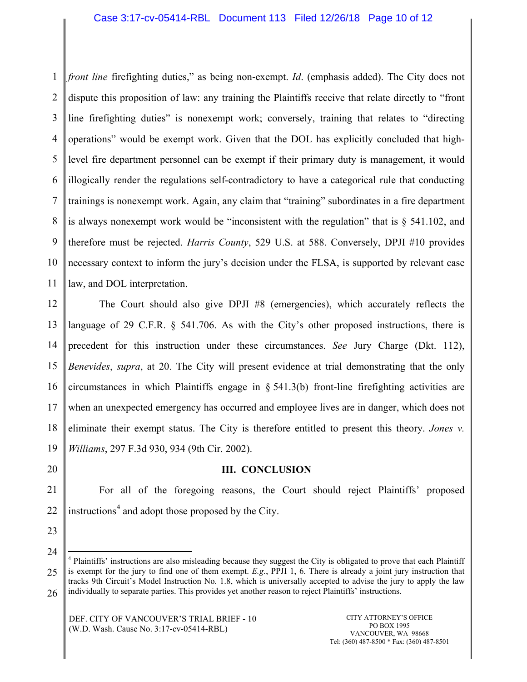#### Case 3:17-cv-05414-RBL Document 113 Filed 12/26/18 Page 10 of 12

1 2 3 4 5 6 7 8 9 10 11 *front line* firefighting duties," as being non-exempt. *Id*. (emphasis added). The City does not dispute this proposition of law: any training the Plaintiffs receive that relate directly to "front line firefighting duties" is nonexempt work; conversely, training that relates to "directing operations" would be exempt work. Given that the DOL has explicitly concluded that highlevel fire department personnel can be exempt if their primary duty is management, it would illogically render the regulations self-contradictory to have a categorical rule that conducting trainings is nonexempt work. Again, any claim that "training" subordinates in a fire department is always nonexempt work would be "inconsistent with the regulation" that is  $\S$  541.102, and therefore must be rejected. *Harris County*, 529 U.S. at 588. Conversely, DPJI #10 provides necessary context to inform the jury's decision under the FLSA, is supported by relevant case law, and DOL interpretation.

12 13 14 15 16 17 18 19 The Court should also give DPJI #8 (emergencies), which accurately reflects the language of 29 C.F.R. § 541.706. As with the City's other proposed instructions, there is precedent for this instruction under these circumstances. *See* Jury Charge (Dkt. 112), *Benevides*, *supra*, at 20. The City will present evidence at trial demonstrating that the only circumstances in which Plaintiffs engage in § 541.3(b) front-line firefighting activities are when an unexpected emergency has occurred and employee lives are in danger, which does not eliminate their exempt status. The City is therefore entitled to present this theory. *Jones v. Williams*, 297 F.3d 930, 934 (9th Cir. 2002).

20

#### **III. CONCLUSION**

21 22 For all of the foregoing reasons, the Court should reject Plaintiffs' proposed instructions<sup>4</sup> and adopt those proposed by the City.

23

24

<sup>25</sup> 4 Plaintiffs' instructions are also misleading because they suggest the City is obligated to prove that each Plaintiff is exempt for the jury to find one of them exempt. *E.g.*, PPJI 1, 6. There is already a joint jury instruction that tracks 9th Circuit's Model Instruction No. 1.8, which is universally accepted to advise the jury to apply the law

<sup>26</sup> individually to separate parties. This provides yet another reason to reject Plaintiffs' instructions.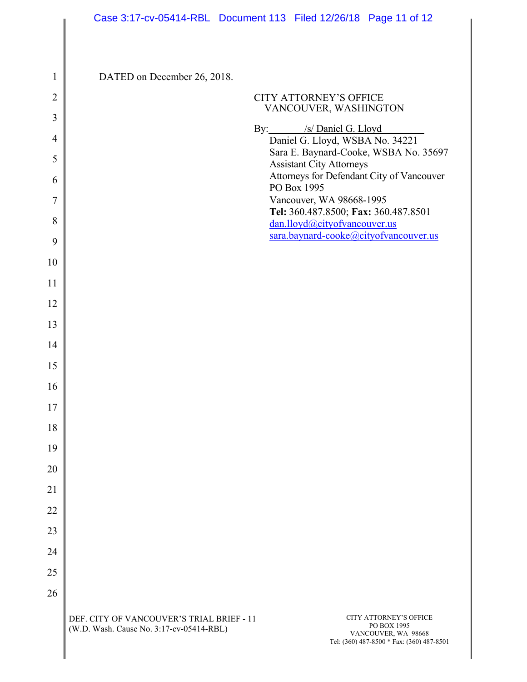| $\mathbf{1}$   | DATED on December 26, 2018. |                                                                                                     |
|----------------|-----------------------------|-----------------------------------------------------------------------------------------------------|
| $\overline{2}$ |                             | <b>CITY ATTORNEY'S OFFICE</b><br>VANCOUVER, WASHINGTON                                              |
| 3              |                             |                                                                                                     |
| $\overline{4}$ |                             | By: /s/ Daniel G. Lloyd<br>Daniel G. Lloyd, WSBA No. 34221<br>Sara E. Baynard-Cooke, WSBA No. 35697 |
| 5              |                             | <b>Assistant City Attorneys</b><br>Attorneys for Defendant City of Vancouver                        |
| 6              |                             | PO Box 1995                                                                                         |
| $\overline{7}$ |                             | Vancouver, WA 98668-1995<br>Tel: 360.487.8500; Fax: 360.487.8501                                    |
| 8<br>9         |                             | dan.lloyd@cityofvancouver.us<br>sara.baynard-cooke@cityofvancouver.us                               |
| 10             |                             |                                                                                                     |
| 11             |                             |                                                                                                     |
| 12             |                             |                                                                                                     |
| 13             |                             |                                                                                                     |
| 14             |                             |                                                                                                     |
| 15             |                             |                                                                                                     |
| 16             |                             |                                                                                                     |
| 17             |                             |                                                                                                     |
| 18             |                             |                                                                                                     |
| 19             |                             |                                                                                                     |
| 20             |                             |                                                                                                     |
| 21             |                             |                                                                                                     |
| 22             |                             |                                                                                                     |
| 23             |                             |                                                                                                     |
| 24             |                             |                                                                                                     |
| 25             |                             |                                                                                                     |
| 26             |                             |                                                                                                     |
|                |                             |                                                                                                     |

I